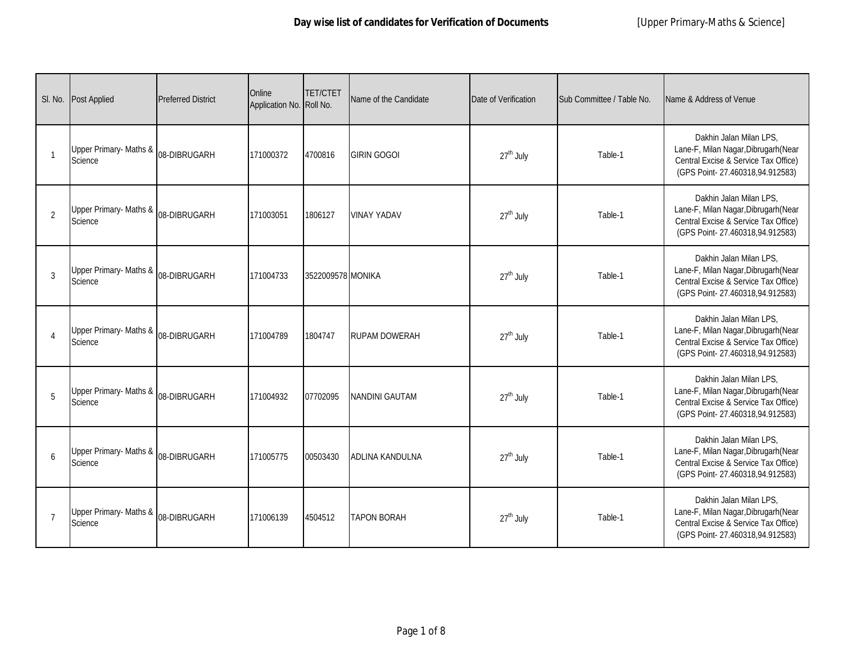| SI. No.        | Post Applied                      | <b>Preferred District</b> | Online<br>Application No. Roll No. | <b>TET/CTET</b>   | Name of the Candidate | Date of Verification  | Sub Committee / Table No. | Name & Address of Venue                                                                                                                    |
|----------------|-----------------------------------|---------------------------|------------------------------------|-------------------|-----------------------|-----------------------|---------------------------|--------------------------------------------------------------------------------------------------------------------------------------------|
| $\mathbf{1}$   | Upper Primary- Maths &<br>Science | 08-DIBRUGARH              | 171000372                          | 4700816           | <b>GIRIN GOGOI</b>    | $27th$ July           | Table-1                   | Dakhin Jalan Milan LPS.<br>Lane-F, Milan Nagar, Dibrugarh (Near<br>Central Excise & Service Tax Office)<br>(GPS Point-27.460318,94.912583) |
| $\overline{2}$ | Upper Primary- Maths &<br>Science | 08-DIBRUGARH              | 171003051                          | 1806127           | <b>VINAY YADAV</b>    | 27 <sup>th</sup> July | Table-1                   | Dakhin Jalan Milan LPS,<br>Lane-F, Milan Nagar, Dibrugarh (Near<br>Central Excise & Service Tax Office)<br>(GPS Point-27.460318,94.912583) |
| 3              | Upper Primary- Maths &<br>Science | 08-DIBRUGARH              | 171004733                          | 3522009578 MONIKA |                       | $27th$ July           | Table-1                   | Dakhin Jalan Milan LPS,<br>Lane-F, Milan Nagar, Dibrugarh (Near<br>Central Excise & Service Tax Office)<br>(GPS Point-27.460318,94.912583) |
| $\overline{4}$ | Upper Primary- Maths &<br>Science | 08-DIBRUGARH              | 171004789                          | 1804747           | RUPAM DOWERAH         | 27 <sup>th</sup> July | Table-1                   | Dakhin Jalan Milan LPS,<br>Lane-F, Milan Nagar, Dibrugarh (Near<br>Central Excise & Service Tax Office)<br>(GPS Point-27.460318,94.912583) |
| 5              | Upper Primary- Maths &<br>Science | 08-DIBRUGARH              | 171004932                          | 07702095          | <b>NANDINI GAUTAM</b> | $27th$ July           | Table-1                   | Dakhin Jalan Milan LPS,<br>Lane-F, Milan Nagar, Dibrugarh (Near<br>Central Excise & Service Tax Office)<br>(GPS Point-27.460318,94.912583) |
| 6              | Upper Primary- Maths &<br>Science | 08-DIBRUGARH              | 171005775                          | 00503430          | ADLINA KANDULNA       | 27 <sup>th</sup> July | Table-1                   | Dakhin Jalan Milan LPS,<br>Lane-F, Milan Nagar, Dibrugarh (Near<br>Central Excise & Service Tax Office)<br>(GPS Point-27.460318,94.912583) |
| $\overline{7}$ | Upper Primary- Maths &<br>Science | 08-DIBRUGARH              | 171006139                          | 4504512           | <b>TAPON BORAH</b>    | $27th$ July           | Table-1                   | Dakhin Jalan Milan LPS,<br>Lane-F, Milan Nagar, Dibrugarh (Near<br>Central Excise & Service Tax Office)<br>(GPS Point-27.460318,94.912583) |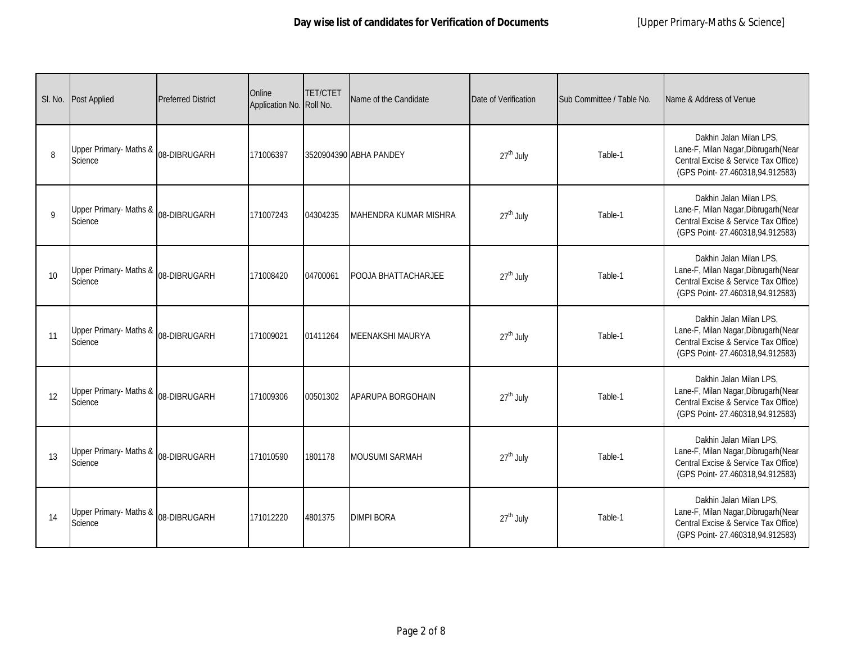| SI. No. | Post Applied                      | <b>Preferred District</b> | Online<br>Application No. Roll No. | <b>TET/CTET</b> | Name of the Candidate  | Date of Verification  | Sub Committee / Table No. | Name & Address of Venue                                                                                                                    |
|---------|-----------------------------------|---------------------------|------------------------------------|-----------------|------------------------|-----------------------|---------------------------|--------------------------------------------------------------------------------------------------------------------------------------------|
| 8       | Upper Primary- Maths &<br>Science | 08-DIBRUGARH              | 171006397                          |                 | 3520904390 ABHA PANDEY | $27th$ July           | Table-1                   | Dakhin Jalan Milan LPS.<br>Lane-F, Milan Nagar, Dibrugarh (Near<br>Central Excise & Service Tax Office)<br>(GPS Point-27.460318,94.912583) |
| 9       | Upper Primary- Maths &<br>Science | 08-DIBRUGARH              | 171007243                          | 04304235        | MAHENDRA KUMAR MISHRA  | 27 <sup>th</sup> July | Table-1                   | Dakhin Jalan Milan LPS,<br>Lane-F, Milan Nagar, Dibrugarh (Near<br>Central Excise & Service Tax Office)<br>(GPS Point-27.460318,94.912583) |
| 10      | Upper Primary- Maths &<br>Science | 08-DIBRUGARH              | 171008420                          | 04700061        | POOJA BHATTACHARJEE    | $27th$ July           | Table-1                   | Dakhin Jalan Milan LPS,<br>Lane-F, Milan Nagar, Dibrugarh (Near<br>Central Excise & Service Tax Office)<br>(GPS Point-27.460318,94.912583) |
| 11      | Upper Primary- Maths &<br>Science | 08-DIBRUGARH              | 171009021                          | 01411264        | MEENAKSHI MAURYA       | 27 <sup>th</sup> July | Table-1                   | Dakhin Jalan Milan LPS,<br>Lane-F, Milan Nagar, Dibrugarh (Near<br>Central Excise & Service Tax Office)<br>(GPS Point-27.460318,94.912583) |
| 12      | Upper Primary- Maths &<br>Science | 08-DIBRUGARH              | 171009306                          | 00501302        | APARUPA BORGOHAIN      | $27th$ July           | Table-1                   | Dakhin Jalan Milan LPS,<br>Lane-F, Milan Nagar, Dibrugarh (Near<br>Central Excise & Service Tax Office)<br>(GPS Point-27.460318,94.912583) |
| 13      | Upper Primary- Maths &<br>Science | 08-DIBRUGARH              | 171010590                          | 1801178         | <b>MOUSUMI SARMAH</b>  | 27 <sup>th</sup> July | Table-1                   | Dakhin Jalan Milan LPS,<br>Lane-F, Milan Nagar, Dibrugarh (Near<br>Central Excise & Service Tax Office)<br>(GPS Point-27.460318,94.912583) |
| 14      | Upper Primary- Maths &<br>Science | 08-DIBRUGARH              | 171012220                          | 4801375         | <b>DIMPI BORA</b>      | $27th$ July           | Table-1                   | Dakhin Jalan Milan LPS,<br>Lane-F, Milan Nagar, Dibrugarh (Near<br>Central Excise & Service Tax Office)<br>(GPS Point-27.460318,94.912583) |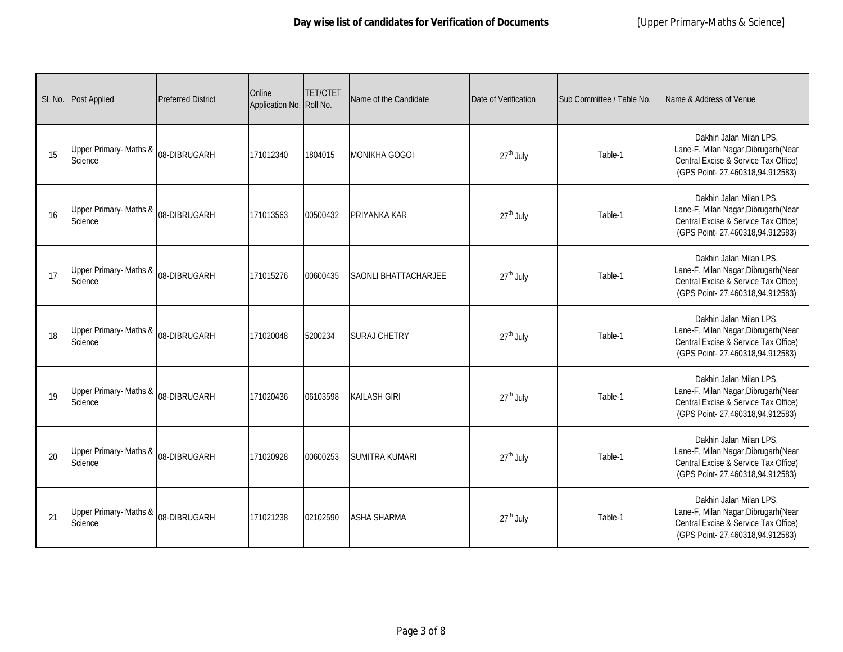| SI. No. | <b>Post Applied</b>                                       | <b>Preferred District</b> | Online<br>Application No. Roll No. | <b>TET/CTET</b> | Name of the Candidate | Date of Verification  | Sub Committee / Table No. | Name & Address of Venue                                                                                                                    |
|---------|-----------------------------------------------------------|---------------------------|------------------------------------|-----------------|-----------------------|-----------------------|---------------------------|--------------------------------------------------------------------------------------------------------------------------------------------|
| 15      | Upper Primary- Maths & <sub>08-DIBRUGARH</sub><br>Science |                           | 171012340                          | 1804015         | <b>MONIKHA GOGOI</b>  | 27 <sup>th</sup> July | Table-1                   | Dakhin Jalan Milan LPS.<br>Lane-F, Milan Nagar, Dibrugarh (Near<br>Central Excise & Service Tax Office)<br>(GPS Point-27.460318,94.912583) |
| 16      | Upper Primary- Maths &<br>Science                         | 08-DIBRUGARH              | 171013563                          | 00500432        | PRIYANKA KAR          | 27 <sup>th</sup> July | Table-1                   | Dakhin Jalan Milan LPS,<br>Lane-F, Milan Nagar, Dibrugarh (Near<br>Central Excise & Service Tax Office)<br>(GPS Point-27.460318,94.912583) |
| 17      | Upper Primary- Maths & <sub>08-DIBRUGARH</sub><br>Science |                           | 171015276                          | 00600435        | SAONLI BHATTACHARJEE  | 27 <sup>th</sup> July | Table-1                   | Dakhin Jalan Milan LPS,<br>Lane-F, Milan Nagar, Dibrugarh (Near<br>Central Excise & Service Tax Office)<br>(GPS Point-27.460318,94.912583) |
| 18      | Upper Primary- Maths & <sub>08-DIBRUGARH</sub><br>Science |                           | 171020048                          | 5200234         | <b>SURAJ CHETRY</b>   | 27 <sup>th</sup> July | Table-1                   | Dakhin Jalan Milan LPS.<br>Lane-F, Milan Nagar, Dibrugarh (Near<br>Central Excise & Service Tax Office)<br>(GPS Point-27.460318,94.912583) |
| 19      | Upper Primary- Maths &<br>Science                         | 08-DIBRUGARH              | 171020436                          | 06103598        | <b>KAILASH GIRI</b>   | 27 <sup>th</sup> July | Table-1                   | Dakhin Jalan Milan LPS,<br>Lane-F, Milan Nagar, Dibrugarh (Near<br>Central Excise & Service Tax Office)<br>(GPS Point-27.460318,94.912583) |
| 20      | Upper Primary- Maths &<br>Science                         | 08-DIBRUGARH              | 171020928                          | 00600253        | <b>SUMITRA KUMARI</b> | 27 <sup>th</sup> July | Table-1                   | Dakhin Jalan Milan LPS,<br>Lane-F, Milan Nagar, Dibrugarh (Near<br>Central Excise & Service Tax Office)<br>(GPS Point-27.460318,94.912583) |
| 21      | Upper Primary- Maths & <sub>08-DIBRUGARH</sub><br>Science |                           | 171021238                          | 02102590        | <b>ASHA SHARMA</b>    | 27 <sup>th</sup> July | Table-1                   | Dakhin Jalan Milan LPS,<br>Lane-F, Milan Nagar, Dibrugarh (Near<br>Central Excise & Service Tax Office)<br>(GPS Point-27.460318,94.912583) |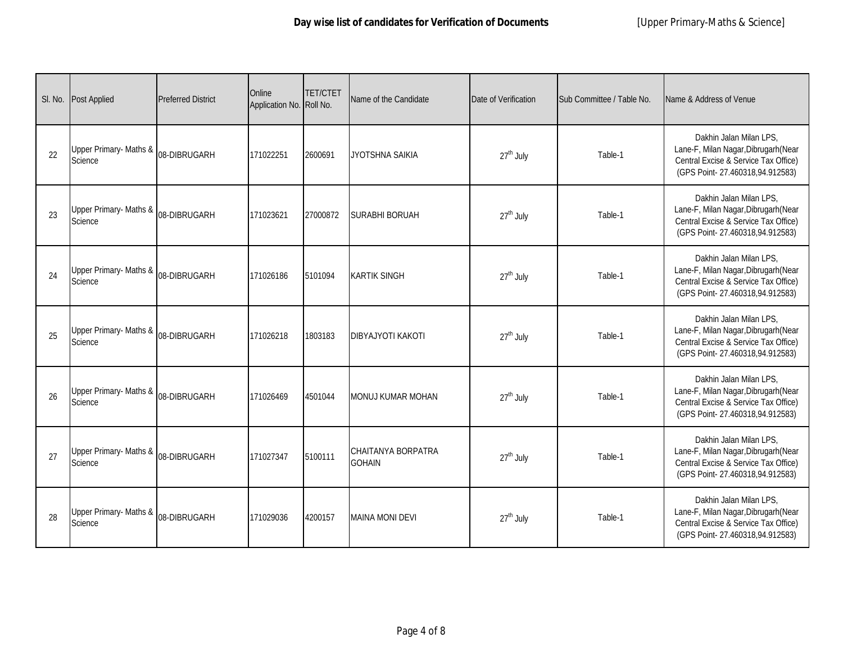| SI. No. | <b>Post Applied</b>                                       | <b>Preferred District</b> | Online<br>Application No. Roll No. | <b>TET/CTET</b> | Name of the Candidate                      | Date of Verification  | Sub Committee / Table No. | Name & Address of Venue                                                                                                                    |
|---------|-----------------------------------------------------------|---------------------------|------------------------------------|-----------------|--------------------------------------------|-----------------------|---------------------------|--------------------------------------------------------------------------------------------------------------------------------------------|
| 22      | Upper Primary- Maths & <sub>08-DIBRUGARH</sub><br>Science |                           | 171022251                          | 2600691         | JYOTSHNA SAIKIA                            | 27 <sup>th</sup> July | Table-1                   | Dakhin Jalan Milan LPS.<br>Lane-F, Milan Nagar, Dibrugarh (Near<br>Central Excise & Service Tax Office)<br>(GPS Point-27.460318,94.912583) |
| 23      | Upper Primary- Maths &<br>Science                         | 08-DIBRUGARH              | 171023621                          | 27000872        | <b>SURABHI BORUAH</b>                      | 27 <sup>th</sup> July | Table-1                   | Dakhin Jalan Milan LPS,<br>Lane-F, Milan Nagar, Dibrugarh (Near<br>Central Excise & Service Tax Office)<br>(GPS Point-27.460318,94.912583) |
| 24      | Upper Primary- Maths & 08-DIBRUGARH<br>Science            |                           | 171026186                          | 5101094         | <b>KARTIK SINGH</b>                        | 27 <sup>th</sup> July | Table-1                   | Dakhin Jalan Milan LPS,<br>Lane-F, Milan Nagar, Dibrugarh (Near<br>Central Excise & Service Tax Office)<br>(GPS Point-27.460318,94.912583) |
| 25      | Upper Primary-Maths & <sub>08-DIBRUGARH</sub><br>Science  |                           | 171026218                          | 1803183         | <b>DIBYAJYOTI KAKOTI</b>                   | 27 <sup>th</sup> July | Table-1                   | Dakhin Jalan Milan LPS.<br>Lane-F, Milan Nagar, Dibrugarh (Near<br>Central Excise & Service Tax Office)<br>(GPS Point-27.460318,94.912583) |
| 26      | Upper Primary- Maths &<br>Science                         | 08-DIBRUGARH              | 171026469                          | 4501044         | <b>MONUJ KUMAR MOHAN</b>                   | 27 <sup>th</sup> July | Table-1                   | Dakhin Jalan Milan LPS,<br>Lane-F, Milan Nagar, Dibrugarh (Near<br>Central Excise & Service Tax Office)<br>(GPS Point-27.460318,94.912583) |
| 27      | Upper Primary- Maths &<br>Science                         | 08-DIBRUGARH              | 171027347                          | 5100111         | <b>CHAITANYA BORPATRA</b><br><b>GOHAIN</b> | 27 <sup>th</sup> July | Table-1                   | Dakhin Jalan Milan LPS,<br>Lane-F, Milan Nagar, Dibrugarh (Near<br>Central Excise & Service Tax Office)<br>(GPS Point-27.460318,94.912583) |
| 28      | Upper Primary- Maths & <sub>08-DIBRUGARH</sub><br>Science |                           | 171029036                          | 4200157         | <b>MAINA MONI DEVI</b>                     | 27 <sup>th</sup> July | Table-1                   | Dakhin Jalan Milan LPS,<br>Lane-F, Milan Nagar, Dibrugarh (Near<br>Central Excise & Service Tax Office)<br>(GPS Point-27.460318,94.912583) |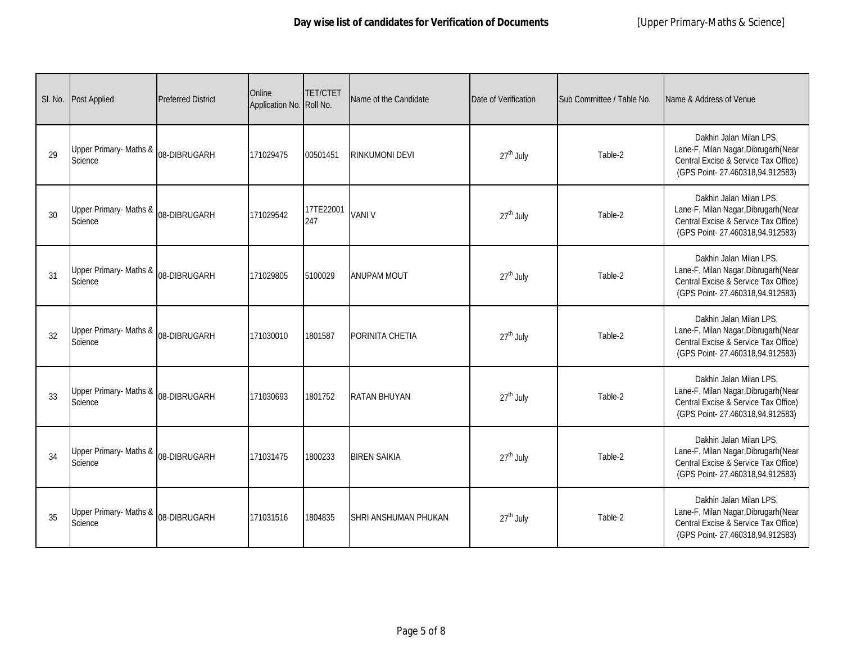| SI. No. | <b>Post Applied</b>                                       | <b>Preferred District</b> | Online<br>Application No. Roll No. | <b>TET/CTET</b>  | Name of the Candidate       | Date of Verification  | Sub Committee / Table No. | Name & Address of Venue                                                                                                                    |
|---------|-----------------------------------------------------------|---------------------------|------------------------------------|------------------|-----------------------------|-----------------------|---------------------------|--------------------------------------------------------------------------------------------------------------------------------------------|
| 29      | Upper Primary- Maths & <sub>08-DIBRUGARH</sub><br>Science |                           | 171029475                          | 00501451         | <b>RINKUMONI DEVI</b>       | 27 <sup>th</sup> July | Table-2                   | Dakhin Jalan Milan LPS,<br>Lane-F, Milan Nagar, Dibrugarh (Near<br>Central Excise & Service Tax Office)<br>(GPS Point-27.460318,94.912583) |
| 30      | Upper Primary- Maths &<br>Science                         | 08-DIBRUGARH              | 171029542                          | 17TE22001<br>247 | <b>VANI V</b>               | 27 <sup>th</sup> July | Table-2                   | Dakhin Jalan Milan LPS,<br>Lane-F, Milan Nagar, Dibrugarh (Near<br>Central Excise & Service Tax Office)<br>(GPS Point-27.460318,94.912583) |
| 31      | Upper Primary- Maths & <sub>08-DIBRUGARH</sub><br>Science |                           | 171029805                          | 5100029          | <b>ANUPAM MOUT</b>          | 27 <sup>th</sup> July | Table-2                   | Dakhin Jalan Milan LPS,<br>Lane-F, Milan Nagar, Dibrugarh (Near<br>Central Excise & Service Tax Office)<br>(GPS Point-27.460318,94.912583) |
| 32      | Upper Primary- Maths & <sub>08-DIBRUGARH</sub><br>Science |                           | 171030010                          | 1801587          | PORINITA CHETIA             | 27 <sup>th</sup> July | Table-2                   | Dakhin Jalan Milan LPS,<br>Lane-F, Milan Nagar, Dibrugarh (Near<br>Central Excise & Service Tax Office)<br>(GPS Point-27.460318,94.912583) |
| 33      | Upper Primary- Maths &<br>Science                         | 08-DIBRUGARH              | 171030693                          | 1801752          | <b>RATAN BHUYAN</b>         | 27 <sup>th</sup> July | Table-2                   | Dakhin Jalan Milan LPS,<br>Lane-F, Milan Nagar, Dibrugarh (Near<br>Central Excise & Service Tax Office)<br>(GPS Point-27.460318,94.912583) |
| 34      | Upper Primary- Maths &<br>Science                         | 08-DIBRUGARH              | 171031475                          | 1800233          | <b>BIREN SAIKIA</b>         | 27 <sup>th</sup> July | Table-2                   | Dakhin Jalan Milan LPS,<br>Lane-F, Milan Nagar, Dibrugarh (Near<br>Central Excise & Service Tax Office)<br>(GPS Point-27.460318,94.912583) |
| 35      | Upper Primary- Maths & <sub>08-DIBRUGARH</sub><br>Science |                           | 171031516                          | 1804835          | <b>SHRI ANSHUMAN PHUKAN</b> | 27 <sup>th</sup> July | Table-2                   | Dakhin Jalan Milan LPS,<br>Lane-F, Milan Nagar, Dibrugarh (Near<br>Central Excise & Service Tax Office)<br>(GPS Point-27.460318,94.912583) |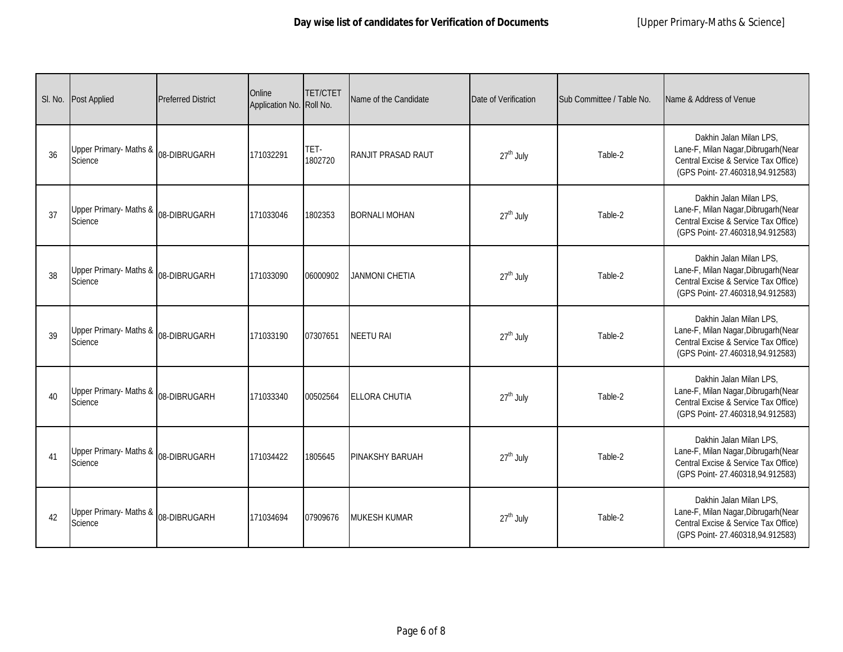| SI. No. | <b>Post Applied</b>               | <b>Preferred District</b> | Online<br>Application No. Roll No. | <b>TET/CTET</b> | Name of the Candidate | Date of Verification  | Sub Committee / Table No. | Name & Address of Venue                                                                                                                    |
|---------|-----------------------------------|---------------------------|------------------------------------|-----------------|-----------------------|-----------------------|---------------------------|--------------------------------------------------------------------------------------------------------------------------------------------|
| 36      | Upper Primary- Maths &<br>Science | 08-DIBRUGARH              | 171032291                          | TET-<br>1802720 | RANJIT PRASAD RAUT    | 27 <sup>th</sup> July | Table-2                   | Dakhin Jalan Milan LPS,<br>Lane-F, Milan Nagar, Dibrugarh (Near<br>Central Excise & Service Tax Office)<br>(GPS Point-27.460318,94.912583) |
| 37      | Upper Primary- Maths &<br>Science | 08-DIBRUGARH              | 171033046                          | 1802353         | <b>BORNALI MOHAN</b>  | 27 <sup>th</sup> July | Table-2                   | Dakhin Jalan Milan LPS.<br>Lane-F, Milan Nagar, Dibrugarh (Near<br>Central Excise & Service Tax Office)<br>(GPS Point-27.460318,94.912583) |
| 38      | Upper Primary- Maths &<br>Science | 08-DIBRUGARH              | 171033090                          | 06000902        | <b>JANMONI CHETIA</b> | $27th$ July           | Table-2                   | Dakhin Jalan Milan LPS.<br>Lane-F, Milan Nagar, Dibrugarh (Near<br>Central Excise & Service Tax Office)<br>(GPS Point-27.460318,94.912583) |
| 39      | Upper Primary- Maths &<br>Science | 08-DIBRUGARH              | 171033190                          | 07307651        | NEETU RAI             | 27 <sup>th</sup> July | Table-2                   | Dakhin Jalan Milan LPS,<br>Lane-F, Milan Nagar, Dibrugarh (Near<br>Central Excise & Service Tax Office)<br>(GPS Point-27.460318,94.912583) |
| 40      | Upper Primary- Maths &<br>Science | 08-DIBRUGARH              | 171033340                          | 00502564        | <b>ELLORA CHUTIA</b>  | $27th$ July           | Table-2                   | Dakhin Jalan Milan LPS,<br>Lane-F, Milan Nagar, Dibrugarh (Near<br>Central Excise & Service Tax Office)<br>(GPS Point-27.460318,94.912583) |
| 41      | Upper Primary- Maths &<br>Science | 08-DIBRUGARH              | 171034422                          | 1805645         | PINAKSHY BARUAH       | 27 <sup>th</sup> July | Table-2                   | Dakhin Jalan Milan LPS,<br>Lane-F, Milan Nagar, Dibrugarh (Near<br>Central Excise & Service Tax Office)<br>(GPS Point-27.460318,94.912583) |
| 42      | Upper Primary- Maths &<br>Science | 08-DIBRUGARH              | 171034694                          | 07909676        | <b>MUKESH KUMAR</b>   | $27th$ July           | Table-2                   | Dakhin Jalan Milan LPS,<br>Lane-F, Milan Nagar, Dibrugarh (Near<br>Central Excise & Service Tax Office)<br>(GPS Point-27.460318,94.912583) |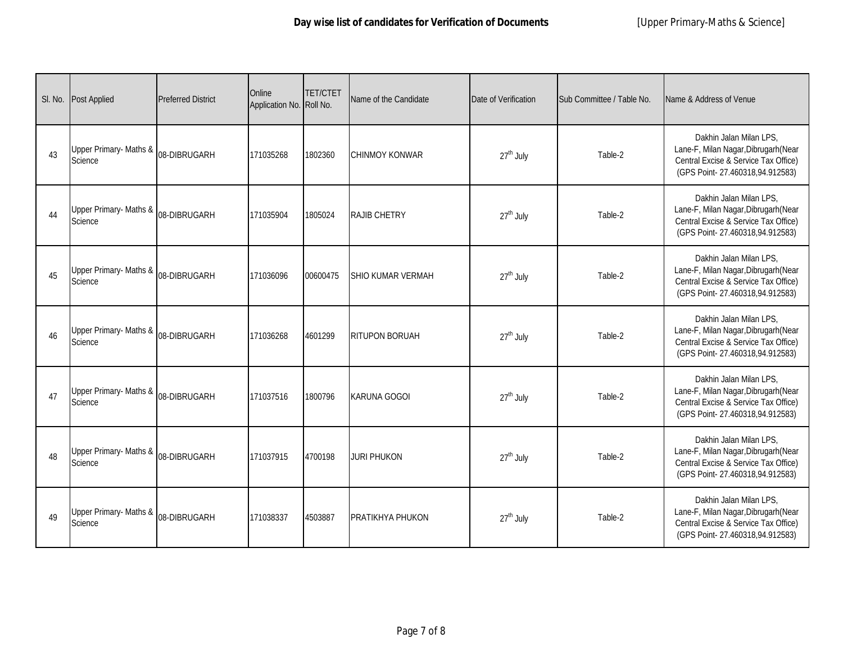| SI. No. | <b>Post Applied</b>               | <b>Preferred District</b> | Online<br>Application No. Roll No. | <b>TET/CTET</b> | Name of the Candidate    | Date of Verification  | Sub Committee / Table No. | Name & Address of Venue                                                                                                                    |
|---------|-----------------------------------|---------------------------|------------------------------------|-----------------|--------------------------|-----------------------|---------------------------|--------------------------------------------------------------------------------------------------------------------------------------------|
| 43      | Upper Primary- Maths &<br>Science | 08-DIBRUGARH              | 171035268                          | 1802360         | <b>CHINMOY KONWAR</b>    | $27th$ July           | Table-2                   | Dakhin Jalan Milan LPS,<br>Lane-F, Milan Nagar, Dibrugarh (Near<br>Central Excise & Service Tax Office)<br>(GPS Point-27.460318,94.912583) |
| 44      | Upper Primary- Maths &<br>Science | 08-DIBRUGARH              | 171035904                          | 1805024         | <b>RAJIB CHETRY</b>      | 27 <sup>th</sup> July | Table-2                   | Dakhin Jalan Milan LPS,<br>Lane-F, Milan Nagar, Dibrugarh (Near<br>Central Excise & Service Tax Office)<br>(GPS Point-27.460318,94.912583) |
| 45      | Upper Primary- Maths &<br>Science | 08-DIBRUGARH              | 171036096                          | 00600475        | <b>SHIO KUMAR VERMAH</b> | $27th$ July           | Table-2                   | Dakhin Jalan Milan LPS,<br>Lane-F, Milan Nagar, Dibrugarh (Near<br>Central Excise & Service Tax Office)<br>(GPS Point-27.460318,94.912583) |
| 46      | Upper Primary- Maths &<br>Science | 08-DIBRUGARH              | 171036268                          | 4601299         | RITUPON BORUAH           | 27 <sup>th</sup> July | Table-2                   | Dakhin Jalan Milan LPS.<br>Lane-F, Milan Nagar, Dibrugarh (Near<br>Central Excise & Service Tax Office)<br>(GPS Point-27.460318,94.912583) |
| 47      | Upper Primary- Maths &<br>Science | 08-DIBRUGARH              | 171037516                          | 1800796         | <b>KARUNA GOGOI</b>      | $27th$ July           | Table-2                   | Dakhin Jalan Milan LPS.<br>Lane-F, Milan Nagar, Dibrugarh (Near<br>Central Excise & Service Tax Office)<br>(GPS Point-27.460318,94.912583) |
| 48      | Upper Primary- Maths &<br>Science | 08-DIBRUGARH              | 171037915                          | 4700198         | <b>JURI PHUKON</b>       | 27 <sup>th</sup> July | Table-2                   | Dakhin Jalan Milan LPS,<br>Lane-F, Milan Nagar, Dibrugarh (Near<br>Central Excise & Service Tax Office)<br>(GPS Point-27.460318,94.912583) |
| 49      | Upper Primary- Maths &<br>Science | 08-DIBRUGARH              | 171038337                          | 4503887         | PRATIKHYA PHUKON         | $27th$ July           | Table-2                   | Dakhin Jalan Milan LPS,<br>Lane-F, Milan Nagar, Dibrugarh (Near<br>Central Excise & Service Tax Office)<br>(GPS Point-27.460318,94.912583) |